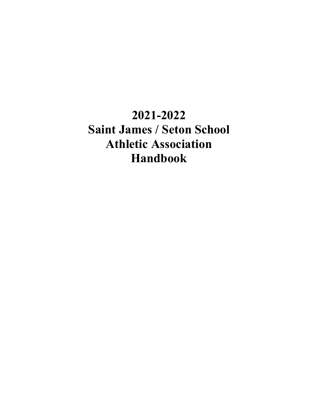# **2021-2022 Saint James / Seton School Athletic Association Handbook**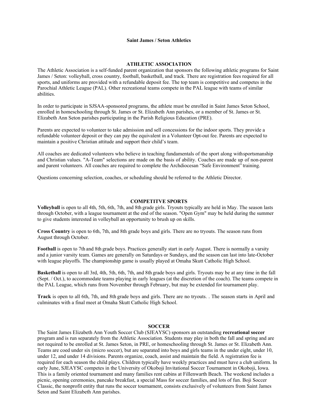#### **Saint James / Seton Athletics**

#### **ATHLETIC ASSOCIATION**

The Athletic Association is a self-funded parent organization that sponsors the following athletic programs for Saint James / Seton: volleyball, cross country, football, basketball, and track. There are registration fees required for all sports, and uniforms are provided with a refundable deposit fee. The top team is competitive and competes in the Parochial Athletic League (PAL). Other recreational teams compete in the PAL league with teams of similar abilities.

In order to participate in SJSAA-sponsored programs, the athlete must be enrolled in Saint James Seton School, enrolled in homeschooling through St. James or St. Elizabeth Ann parishes, or a member of St. James or St. Elizabeth Ann Seton parishes participating in the Parish Religious Education (PRE).

Parents are expected to volunteer to take admission and sell concessions for the indoor sports. They provide a refundable volunteer deposit or they can pay the equivalent in a Volunteer Opt-out fee. Parents are expected to maintain a positive Christian attitude and support their child's team.

All coaches are dedicated volunteers who believe in teaching fundamentals of the sport along withsportsmanship and Christian values. "A-Team" selections are made on the basis of ability. Coaches are made up of non-parent and parent volunteers. All coaches are required to complete the Archdiocesan "Safe Environment" training.

Questions concerning selection, coaches, or scheduling should be referred to the Athletic Director.

#### **COMPETITVE SPORTS**

**Volleyball** is open to all 4th, 5th, 6th, 7th, and 8th grade girls. Tryouts typically are held in May. The season lasts through October, with a league tournament at the end of the season. "Open Gym" may be held during the summer to give students interested in volleyball an opportunity to brush up on skills.

**Cross Country** is open to 6th, 7th, and 8th grade boys and girls. There are no tryouts. The season runs from August through October.

**Football** is open to 7th and 8th grade boys. Practices generally start in early August. There is normally a varsity and a junior varsity team. Games are generally on Saturdays or Sundays, and the season can last into late-October with league playoffs. The championship game is usually played at Omaha Skutt Catholic High School.

**Basketball** is open to all 3rd, 4th, 5th, 6th, 7th, and 8th grade boys and girls. Tryouts may be at any time in the fall (Sept. / Oct.), to accommodate teams playing in early leagues (at the discretion of the coach). The teams compete in the PAL League, which runs from November through February, but may be extended for tournament play.

**Track** is open to all 6th, 7th, and 8th grade boys and girls. There are no tryouts. . The season starts in April and culminates with a final meet at Omaha Skutt Catholic High School.

## **SOCCER**

The Saint James Elizabeth Ann Youth Soccer Club (SJEAYSC) sponsors an outstanding **recreational soccer**  program and is run separately from the Athletic Association. Students may play in both the fall and spring and are not required to be enrolled at St. James Seton, in PRE, or homeschooling through St. James or St. Elizabeth Ann. Teams are coed under six (micro soccer), but are separated into boys and girls teams in the under eight, under 10, under 12, and under 14 divisions. Parents organize, coach, assist and maintain the field. A registration fee is required for each season the child plays. Children typically have weekly practices and must have a club uniform. In early June, SJEAYSC competes in the University of Okoboji Invitational Soccer Tournament in Okoboji, Iowa. This is a family oriented tournament and many families rent cabins at Fillenwarth Beach. The weekend includes a picnic, opening ceremonies, pancake breakfast, a special Mass for soccer families, and lots of fun. Boji Soccer Classic, the nonprofit entity that runs the soccer tournament, consists exclusively of volunteers from Saint James Seton and Saint Elizabeth Ann parishes.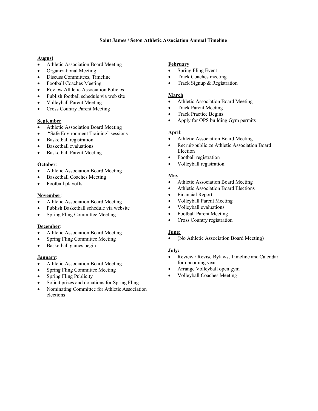# **Saint James / Seton Athletic Association Annual Timeline**

# **August**:

- Athletic Association Board Meeting
- Organizational Meeting
- Discuss Committees, Timeline
- Football Coaches Meeting
- Review Athletic Association Policies
- Publish football schedule via web site
- Volleyball Parent Meeting
- Cross Country Parent Meeting

# **September**:

- Athletic Association Board Meeting
- "Safe Environment Training" sessions
- Basketball registration
- Basketball evaluations
- Basketball Parent Meeting

# **October**:

- Athletic Association Board Meeting
- Basketball Coaches Meeting
- Football playoffs

# **November**:

- Athletic Association Board Meeting
- Publish Basketball schedule via website
- Spring Fling Committee Meeting

# **December**:

- Athletic Association Board Meeting
- Spring Fling Committee Meeting
- Basketball games begin

# **January**:

- Athletic Association Board Meeting
- Spring Fling Committee Meeting
- Spring Fling Publicity
- Solicit prizes and donations for Spring Fling
- Nominating Committee for Athletic Association elections

# **February**:

- Spring Fling Event
- Track Coaches meeting
- Track Signup & Registration

# **March**:

- Athletic Association Board Meeting
- Track Parent Meeting
- Track Practice Begins
- Apply for OPS building Gym permits

# **April**:

- Athletic Association Board Meeting
- Recruit/publicize Athletic Association Board Election
- Football registration
- Volleyball registration

# **May**:

- Athletic Association Board Meeting
- Athletic Association Board Elections
- Financial Report
- Volleyball Parent Meeting
- Volleyball evaluations
- Football Parent Meeting
- Cross Country registration

# **June:**

• (No Athletic Association Board Meeting)

# **July:**

- Review / Revise Bylaws, Timeline and Calendar for upcoming year
- Arrange Volleyball open gym
- Volleyball Coaches Meeting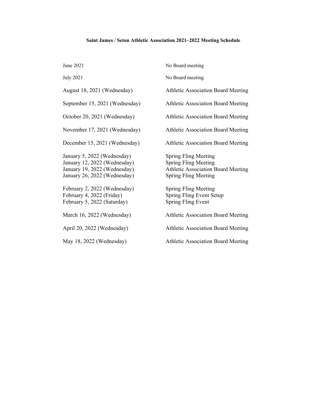# **Saint James / Seton Athletic Association 2021–2022 Meeting Schedule**

| June 2021                                                                                                                   | No Board meeting                                                                                                                       |
|-----------------------------------------------------------------------------------------------------------------------------|----------------------------------------------------------------------------------------------------------------------------------------|
| <b>July 2021</b>                                                                                                            | No Board meeting                                                                                                                       |
| August 18, 2021 (Wednesday)                                                                                                 | <b>Athletic Association Board Meeting</b>                                                                                              |
| September 15, 2021 (Wednesday)                                                                                              | Athletic Association Board Meeting                                                                                                     |
| October 20, 2021 (Wednesday)                                                                                                | <b>Athletic Association Board Meeting</b>                                                                                              |
| November 17, 2021 (Wednesday)                                                                                               | <b>Athletic Association Board Meeting</b>                                                                                              |
| December 15, 2021 (Wednesday)                                                                                               | <b>Athletic Association Board Meeting</b>                                                                                              |
| January 5, 2022 (Wednesday)<br>January 12, 2022 (Wednesday)<br>January 19, 2022 (Wednesday)<br>January 26, 2022 (Wednesday) | <b>Spring Fling Meeting</b><br><b>Spring Fling Meeting</b><br><b>Athletic Association Board Meeting</b><br><b>Spring Fling Meeting</b> |
| February 2, 2022 (Wednesday)<br>February 4, 2022 (Friday)<br>February 5, 2022 (Saturday)                                    | <b>Spring Fling Meeting</b><br><b>Spring Fling Event Setup</b><br><b>Spring Fling Event</b>                                            |
| March 16, 2022 (Wednesday)                                                                                                  | <b>Athletic Association Board Meeting</b>                                                                                              |
| April 20, 2022 (Wednesday)                                                                                                  | <b>Athletic Association Board Meeting</b>                                                                                              |
| May 18, 2022 (Wednesday)                                                                                                    | <b>Athletic Association Board Meeting</b>                                                                                              |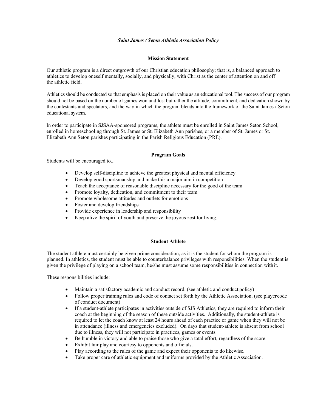## *Saint James / Seton Athletic Association Policy*

### **Mission Statement**

Our athletic program is a direct outgrowth of our Christian education philosophy; that is, a balanced approach to athletics to develop oneself mentally, socially, and physically, with Christ as the center of attention on and off the athletic field.

Athletics should be conducted so that emphasis is placed on their value as an educational tool. The success of our program should not be based on the number of games won and lost but rather the attitude, commitment, and dedication shown by the contestants and spectators, and the way in which the program blends into the framework of the Saint James / Seton educational system.

In order to participate in SJSAA-sponsored programs, the athlete must be enrolled in Saint James Seton School, enrolled in homeschooling through St. James or St. Elizabeth Ann parishes, or a member of St. James or St. Elizabeth Ann Seton parishes participating in the Parish Religious Education (PRE).

# **Program Goals**

Students will be encouraged to...

- Develop self-discipline to achieve the greatest physical and mental efficiency
- Develop good sportsmanship and make this a major aim in competition
- Teach the acceptance of reasonable discipline necessary for the good of the team
- Promote loyalty, dedication, and commitment to their team
- Promote wholesome attitudes and outlets for emotions
- Foster and develop friendships
- Provide experience in leadership and responsibility
- Keep alive the spirit of youth and preserve the joyous zest for living.

#### **Student Athlete**

The student athlete must certainly be given prime consideration, as it is the student for whom the program is planned. In athletics, the student must be able to counterbalance privileges with responsibilities. When the student is given the privilege of playing on a school team, he/she must assume some responsibilities in connection with it.

These responsibilities include:

- Maintain a satisfactory academic and conduct record. (see athletic and conduct policy)
- Follow proper training rules and code of contact set forth by the Athletic Association. (see playercode of conduct document)
- If a student-athlete participates in activities outside of SJS Athletics, they are required to inform their coach at the beginning of the season of these outside activities. Additionally, the student-athlete is required to let the coach know at least 24 hours ahead of each practice or game when they will not be in attendance (illness and emergencies excluded). On days that student-athlete is absent from school due to illness, they will not participate in practices, games or events.
- Be humble in victory and able to praise those who give a total effort, regardless of the score.
- Exhibit fair play and courtesy to opponents and officials.
- Play according to the rules of the game and expect their opponents to do likewise.
- Take proper care of athletic equipment and uniforms provided by the Athletic Association.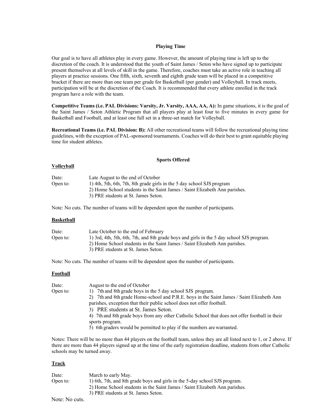### **Playing Time**

Our goal is to have all athletes play in every game. However, the amount of playing time is left up to the discretion of the coach. It is understood that the youth of Saint James / Seton who have signed up to participate present themselves at all levels of skill in the game. Therefore, coaches must take an active role in teaching all players at practice sessions. One fifth, sixth, seventh and eighth grade team will be placed in a competitive bracket if there are more than one team per grade for Basketball (per gender) and Volleyball. In track meets, participation will be at the discretion of the Coach. It is recommended that every athlete enrolled in the track program have a role with the team.

**Competitive Teams (i.e. PAL Divisions: Varsity, Jr. Varsity, AAA, AA, A):** In game situations, it is the goal of the Saint James / Seton Athletic Program that all players play at least four to five minutes in every game for Basketball and Football, and at least one full set in a three-set match for Volleyball.

**Recreational Teams (i.e. PAL Division: B):** All other recreational teams will follow the recreational playing time guidelines, with the exception of PAL-sponsored tournaments. Coaches will do their best to grant equitable playing time for student athletes.

#### **Sports Offered**

### **Volleyball**

| Date:    | Late August to the end of October                                          |
|----------|----------------------------------------------------------------------------|
| Open to: | 1) 4th, 5th, 6th, 7th, 8th grade girls in the 5 day school SJS program     |
|          | 2) Home School students in the Saint James / Saint Elizabeth Ann parishes. |
|          | 3) PRE students at St. James Seton.                                        |

Note: No cuts. The number of teams will be dependent upon the number of participants.

#### **Basketball**

| Date:    | Late October to the end of February                                                       |
|----------|-------------------------------------------------------------------------------------------|
| Open to: | 1) 3rd, 4th, 5th, 6th, 7th, and 8th grade boys and girls in the 5 day school SJS program. |
|          | 2) Home School students in the Saint James / Saint Elizabeth Ann parishes.                |
|          | 3) PRE students at St. James Seton.                                                       |

Note: No cuts. The number of teams will be dependent upon the number of participants.

#### **Football**

| Date:    | August to the end of October                                                                   |
|----------|------------------------------------------------------------------------------------------------|
| Open to: | 1) 7th and 8th grade boys in the 5 day school SJS program.                                     |
|          | 7th and 8th grade Home-school and P.R.E. boys in the Saint James / Saint Elizabeth Ann<br>2)   |
|          | parishes, exception that their public school does not offer football.                          |
|          | 3) PRE students at St. James Seton.                                                            |
|          | 4) 7th and 8th grade boys from any other Catholic School that does not offer football in their |
|          | sports program.                                                                                |
|          | 5) 6th graders would be permitted to play if the numbers are warranted.                        |
|          |                                                                                                |

Notes: There will be no more than 44 players on the football team, unless they are all listed next to 1, or 2 above. If there are more than 44 players signed up at the time of the early registration deadline, students from other Catholic schools may be turned away.

#### **Track**

| Date:    | March to early May.                                                        |
|----------|----------------------------------------------------------------------------|
| Open to: | 1) 6th, 7th, and 8th grade boys and girls in the 5-day school SJS program. |
|          | 2) Home School students in the Saint James / Saint Elizabeth Ann parishes. |
|          | 3) PRE students at St. James Seton.                                        |
|          |                                                                            |

Note: No cuts.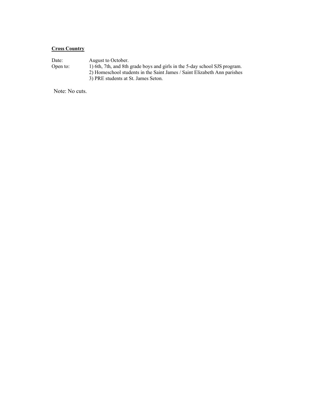# **Cross Country**

Date: August to October.<br>Open to: 1) 6th, 7th, and 8th 1) 6th, 7th, and 8th grade boys and girls in the 5-day school SJS program. 2) Homeschool students in the Saint James / Saint Elizabeth Ann parishes 3) PRE students at St. James Seton.

Note: No cuts.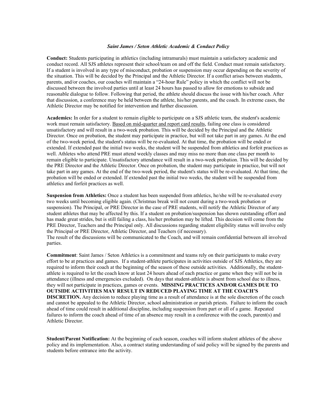#### *Saint James / Seton Athletic Academic & Conduct Policy*

**Conduct:** Students participating in athletics (including intramurals) must maintain a satisfactory academic and conduct record. All SJS athletes represent their school/team on and off the field. Conduct must remain satisfactory. If a student is involved in any type of misconduct, probation or suspension may occur depending on the severity of the situation. This will be decided by the Principal and the Athletic Director. If a conflict arises between students, parents, and/or coaches, our coaches will maintain a "24-hour Rule" policy in which the conflict will not be discussed between the involved parties until at least 24 hours has passed to allow for emotions to subside and reasonable dialogue to follow. Following that period, the athlete should discuss the issue with his/her coach. After that discussion, a conference may be held between the athlete, his/her parents, and the coach. In extreme cases, the Athletic Director may be notified for intervention and further discussion.

**Academics:** In order for a student to remain eligible to participate on a SJS athletic team, the student's academic work must remain satisfactory. Based on mid-quarter and report card results, failing one class is considered unsatisfactory and will result in a two-week probation. This will be decided by the Principal and the Athletic Director. Once on probation, the student may participate in practice, but will not take part in any games. At the end of the two-week period, the student's status will be re-evaluated. At that time, the probation will be ended or extended. If extended past the initial two weeks, the student will be suspended from athletics and forfeit practices as well. Athletes who attend PRE must attend weekly classes and may miss no more than one class per month to remain eligible to participate. Unsatisfactory attendance will result in a two-week probation. This will be decided by the PRE Director and the Athletic Director. Once on probation, the student may participate in practice, but will not take part in any games. At the end of the two-week period, the student's status will be re-evaluated. At that time, the probation will be ended or extended. If extended past the initial two weeks, the student will be suspended from athletics and forfeit practices as well.

**Suspension from Athletics:** Once a student has been suspended from athletics, he/she will be re-evaluated every two weeks until becoming eligible again. (Christmas break will not count during a two-week probation or suspension). The Principal, or PRE Director in the case of PRE students, will notify the Athletic Director of any student athletes that may be affected by this. If a student on probation/suspension has shown outstanding effort and has made great strides, but is still failing a class, his/her probation may be lifted. This decision will come from the PRE Director, Teachers and the Principal only. All discussions regarding student eligibility status will involve only the Principal or PRE Director, Athletic Director, and Teachers (if necessary). The result of the discussions will be communicated to the Coach, and will remain confidential between all involved parties.

**Commitment**: Saint James / Seton Athletics is a commitment and teams rely on their participants to make every effort to be at practices and games. If a student-athlete participates in activities outside of SJS Athletics, they are required to inform their coach at the beginning of the season of these outside activities. Additionally, the studentathlete is required to let the coach know at least 24 hours ahead of each practice or game when they will not be in attendance (illness and emergencies excluded). On days that student-athlete is absent from school due to illness, they will not participate in practices, games or events. **MISSING PRACTICES AND/OR GAMES DUE TO OUTSIDE ACTIVITIES MAY RESULT IN REDUCED PLAYING TIME AT THE COACH'S DISCRETION.** Any decision to reduce playing time as a result of attendance is at the sole discretion of the coach and cannot be appealed to the Athletic Director, school administration or parish priests. Failure to inform the coach ahead of time could result in additional discipline, including suspension from part or all of a game. Repeated failures to inform the coach ahead of time of an absence may result in a conference with the coach, parent(s) and Athletic Director.

**Student/Parent Notification:** At the beginning of each season, coaches will inform student athletes of the above policy and its implementation. Also, a contract stating understanding of said policy will be signed by the parents and students before entrance into the activity.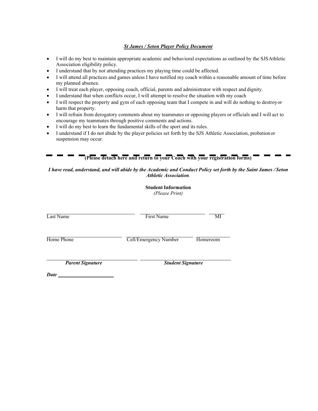# *St James / Seton Player Policy Document*

- I will do my best to maintain appropriate academic and behavioral expectations as outlined by the SJSAthletic Association eligibility policy.
- I understand that by not attending practices my playing time could be affected.
- I will attend all practices and games unless I have notified my coach within a reasonable amount of time before my planned absence.
- I will treat each player, opposing coach, official, parents and administrator with respect and dignity.
- I understand that when conflicts occur, I will attempt to resolve the situation with my coach
- I will respect the property and gym of each opposing team that I compete in and will do nothing to destroyor harm that property.
- I will refrain from derogatory comments about my teammates or opposing players or officials and I will act to encourage my teammates through positive comments and actions.
- I will do my best to learn the fundamental skills of the sport and its rules.

**COL** 

• I understand if I do not abide by the player policies set forth by the SJS Athletic Association, probationor suspension may occur.

| (Please detach here and return to your Coach with your registration forms) |  |
|----------------------------------------------------------------------------|--|
|----------------------------------------------------------------------------|--|

# *I have read, understand, and will abide by the Academic and Conduct Policy set forth by the Saint James / Seton Athletic Association.*

|                                 | <b>Student Information</b><br>(Please Print) |          |  |
|---------------------------------|----------------------------------------------|----------|--|
| Last Name                       | <b>First Name</b>                            | MI       |  |
| Home Phone                      | Cell/Emergency Number                        | Homeroom |  |
| <b>Parent Signature</b><br>Date | <b>Student Signature</b>                     |          |  |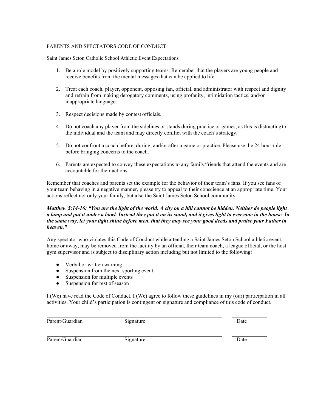# PARENTS AND SPECTATORS CODE OF CONDUCT

Saint James Seton Catholic School Athletic Event Expectations

- 1. Be a role model by positively supporting teams. Remember that the players are young people and receive benefits from the mental messages that can be applied to life.
- 2. Treat each coach, player, opponent, opposing fan, official, and administrator with respect and dignity and refrain from making derogatory comments, using profanity, intimidation tactics, and/or inappropriate language.
- 3. Respect decisions made by contest officials.
- 4. Do not coach any player from the sidelines or stands during practice or games, as this is distractingto the individual and the team and may directly conflict with the coach'sstrategy.
- 5. Do not confront a coach before, during, and/or after a game or practice. Please use the 24 hour rule before bringing concerns to the coach.
- 6. Parents are expected to convey these expectations to any family/friends that attend the events and are accountable for their actions.

Remember that coaches and parents set the example for the behavior of their team's fans. If you see fans of your team behaving in a negative manner, please try to appeal to their conscience at an appropriate time. Your actions reflect not only your family, but also the Saint James Seton School community.

# *Matthew 5:14-16: "You are the light of the world. A city on a hill cannot be hidden. Neither do people light a lamp and put it under a bowl. Instead they put it on its stand, and it gives light to everyone in the house. In the same way, let your light shine before men, that they may see your good deeds and praise your Father in heaven."*

Any spectator who violates this Code of Conduct while attending a Saint James Seton School athletic event, home or away, may be removed from the facility by an official, their team coach, a league official, or the host gym supervisor and is subject to disciplinary action including but not limited to the following:

- Verbal or written warning
- Suspension from the next sporting event
- Suspension for multiple events
- Suspension for rest of season

I (We) have read the Code of Conduct. I (We) agree to follow these guidelines in my (our) participation in all activities. Your child's participation is contingent on signature and compliance of this code of conduct.

| Parent/Guardian | 51gnature | Jate |
|-----------------|-----------|------|
|                 |           |      |

Parent/Guardian Signature Signature Date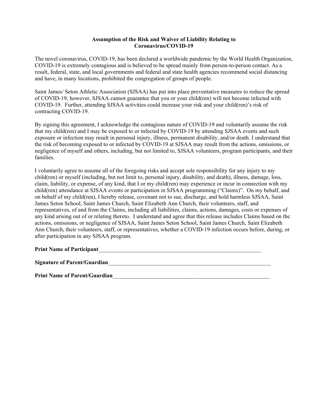# **Assumption of the Risk and Waiver of Liability Relating to Coronavirus/COVID-19**

The novel coronavirus, COVID-19, has been declared a worldwide pandemic by the World Health Organization, COVID-19 is extremely contagious and is believed to be spread mainly from person-to-person contact. As a result, federal, state, and local governments and federal and state health agencies recommend social distancing and have, in many locations, prohibited the congregation of groups of people.

Saint James/ Seton Athletic Association (SJSAA) has put into place preventative measures to reduce the spread of COVID-19; however, SJSAA cannot guarantee that you or your child(ren) will not become infected with COVID-19. Further, attending SJSAA activities could increase your risk and your child(ren)'s risk of contracting COVID-19.

By signing this agreement, I acknowledge the contagious nature of COVID-19 and voluntarily assume the risk that my child(ren) and I may be exposed to or infected by COVID-19 by attending SJSAA events and such exposure or infection may result in personal injury, illness, permanent disability, and/or death. I understand that the risk of becoming exposed to or infected by COVID-19 at SJSAA may result from the actions, omissions, or negligence of myself and others, including, but not limited to, SJSAA volunteers, program participants, and their families.

I voluntarily agree to assume all of the foregoing risks and accept sole responsibility for any injury to my child(ren) or myself (including, but not limit to, personal injury, disability, and death), illness, damage, loss, claim, liability, or expense, of any kind, that I or my child(ren) may experience or incur in connection with my child(ren) attendance at SJSAA events or participation in SJSAA programming ("Claims)". On my behalf, and on behalf of my child(ren), I hereby release, covenant not to sue, discharge, and hold harmless SJSAA, Saint James Seton School, Saint James Church, Saint Elizabeth Ann Church, their volunteers, staff, and representatives, of and from the Claims, including all liabilities, claims, actions, damages, costs or expenses of any kind arising out of or relating thereto. I understand and agree that this release includes Claims based on the actions, omissions, or negligence of SJSAA, Saint James Seton School, Saint James Church, Saint Elizabeth Ann Church, their volunteers, staff, or representatives, whether a COVID-19 infection occurs before, during, or after participation in any SJSAA program.

# Print Name of Participant **Later and Later Section** 2 and 2 and 2 and 2 and 2 and 2 and 2 and 2 and 2 and 2 and 2 and 2 and 2 and 2 and 2 and 2 and 2 and 2 and 2 and 2 and 2 and 2 and 2 and 2 and 2 and 2 and 2 and 2 and 2

**Signature of Parent/Guardian**\_\_\_\_\_\_\_\_\_\_\_\_\_\_\_\_\_\_\_\_\_\_\_\_\_\_\_\_\_\_\_\_\_\_\_\_\_\_\_\_\_\_\_\_\_\_\_\_\_\_\_\_\_\_\_\_\_

Print Name of Parent/Guardian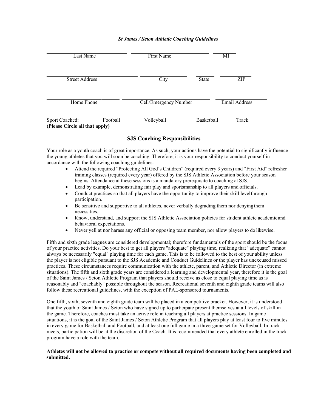# *St James / Seton Athletic Coaching Guidelines*

| Last Name                                        |          | First Name            |            | МI            |  |
|--------------------------------------------------|----------|-----------------------|------------|---------------|--|
| <b>Street Address</b>                            |          | City                  | State      | ZIP           |  |
| Home Phone                                       |          | Cell/Emergency Number |            | Email Address |  |
| Sport Coached:<br>(Please Circle all that apply) | Football | Volleyball            | Basketball | Track         |  |

# **SJS Coaching Responsibilities**

Your role as a youth coach is of great importance. As such, your actions have the potential to significantly influence the young athletes that you will soon be coaching. Therefore, it is your responsibility to conduct yourself in accordance with the following coaching guidelines:

- Attend the required "Protecting All God's Children" (required every 3 years) and "First Aid" refresher training classes (required every year) offered by the SJS Athletic Association before your season begins. Attendance at these sessions is a mandatory prerequisite to coaching at SJS.
- Lead by example, demonstrating fair play and sportsmanship to all players and officials.
- Conduct practices so that all players have the opportunity to improve their skill levelthrough participation.
- Be sensitive and supportive to all athletes, never verbally degrading them nor denying them necessities.
- Know, understand, and support the SJS Athletic Association policies for student athlete academicand behavioral expectations.
- Never yell at nor harass any official or opposing team member, nor allow players to do likewise.

Fifth and sixth grade leagues are considered developmental; therefore fundamentals of the sport should be the focus of your practice activities. Do your best to get all players "adequate" playing time, realizing that "adequate" cannot always be necessarily "equal" playing time for each game. This is to be followed to the best of your ability unless the player is not eligible pursuant to the SJS Academic and Conduct Guidelines or the player has unexcused missed practices. These circumstances require communication with the athlete, parent, and Athletic Director (in extreme situations). The fifth and sixth grade years are considered a learning and developmental year, therefore it is the goal of the Saint James / Seton Athletic Program that players should receive as close to equal playing time as is reasonably and "coachably" possible throughout the season. Recreational seventh and eighth grade teams will also follow these recreational guidelines, with the exception of PAL-sponsored tournaments.

One fifth, sixth, seventh and eighth grade team will be placed in a competitive bracket. However, it is understood that the youth of Saint James / Seton who have signed up to participate present themselves at all levels of skill in the game. Therefore, coaches must take an active role in teaching all players at practice sessions. In game situations, it is the goal of the Saint James / Seton Athletic Program that all players play at least four to five minutes in every game for Basketball and Football, and at least one full game in a three-game set for Volleyball. In track meets, participation will be at the discretion of the Coach. It is recommended that every athlete enrolled in the track program have a role with the team.

### **Athletes will not be allowed to practice or compete without all required documents having been completed and submitted.**